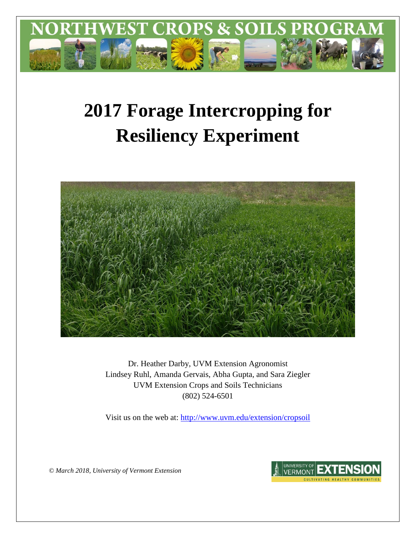

# **2017 Forage Intercropping for Resiliency Experiment**



Dr. Heather Darby, UVM Extension Agronomist Lindsey Ruhl, Amanda Gervais, Abha Gupta, and Sara Ziegler UVM Extension Crops and Soils Technicians (802) 524-6501

Visit us on the web at:<http://www.uvm.edu/extension/cropsoil>

*© March 2018, University of Vermont Extension*

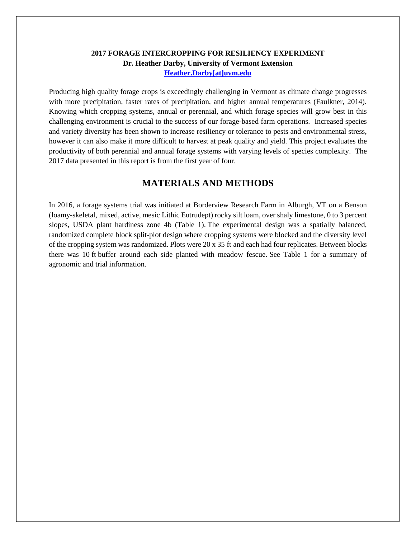## **2017 FORAGE INTERCROPPING FOR RESILIENCY EXPERIMENT Dr. Heather Darby, University of Vermont Extension [Heather.Darby\[at\]uvm.edu](mailto:heather.darby@uvm.edu?subject=2012%20Forage%20Brassica%20Report)**

Producing high quality forage crops is exceedingly challenging in Vermont as climate change progresses with more precipitation, faster rates of precipitation, and higher annual temperatures (Faulkner, 2014). Knowing which cropping systems, annual or perennial, and which forage species will grow best in this challenging environment is crucial to the success of our forage-based farm operations. Increased species and variety diversity has been shown to increase resiliency or tolerance to pests and environmental stress, however it can also make it more difficult to harvest at peak quality and yield. This project evaluates the productivity of both perennial and annual forage systems with varying levels of species complexity. The 2017 data presented in this report is from the first year of four.

# **MATERIALS AND METHODS**

In 2016, a forage systems trial was initiated at Borderview Research Farm in Alburgh, VT on a Benson (loamy-skeletal, mixed, active, mesic Lithic Eutrudept) rocky silt loam, over shaly limestone, 0 to 3 percent slopes, USDA plant hardiness zone 4b (Table 1). The experimental design was a spatially balanced, randomized complete block split-plot design where cropping systems were blocked and the diversity level of the cropping system was randomized. Plots were 20 x 35 ft and each had four replicates. Between blocks there was 10 ft buffer around each side planted with meadow fescue. See Table 1 for a summary of agronomic and trial information.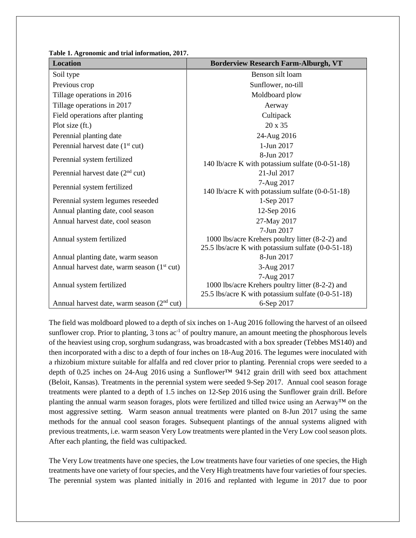| <b>Location</b>                                        | <b>Borderview Research Farm-Alburgh, VT</b>        |
|--------------------------------------------------------|----------------------------------------------------|
| Soil type                                              | Benson silt loam                                   |
| Previous crop                                          | Sunflower, no-till                                 |
| Tillage operations in 2016                             | Moldboard plow                                     |
| Tillage operations in 2017                             | Aerway                                             |
| Field operations after planting                        | Cultipack                                          |
| Plot size (ft.)                                        | 20 x 35                                            |
| Perennial planting date                                | 24-Aug 2016                                        |
| Perennial harvest date $(1st cut)$                     | 1-Jun 2017                                         |
| Perennial system fertilized                            | 8-Jun 2017                                         |
|                                                        | 140 lb/acre K with potassium sulfate (0-0-51-18)   |
| Perennial harvest date $(2nd$ cut)                     | 21-Jul 2017                                        |
| Perennial system fertilized                            | 7-Aug 2017                                         |
|                                                        | 140 lb/acre K with potassium sulfate (0-0-51-18)   |
| Perennial system legumes reseeded                      | 1-Sep 2017                                         |
| Annual planting date, cool season                      | 12-Sep 2016                                        |
| Annual harvest date, cool season                       | 27-May 2017<br>7-Jun 2017                          |
| Annual system fertilized                               | 1000 lbs/acre Krehers poultry litter (8-2-2) and   |
|                                                        | 25.5 lbs/acre K with potassium sulfate (0-0-51-18) |
| Annual planting date, warm season                      | 8-Jun 2017                                         |
| Annual harvest date, warm season (1 <sup>st</sup> cut) | 3-Aug 2017                                         |
|                                                        | 7-Aug 2017                                         |
| Annual system fertilized                               | 1000 lbs/acre Krehers poultry litter (8-2-2) and   |
|                                                        | 25.5 lbs/acre K with potassium sulfate (0-0-51-18) |
| Annual harvest date, warm season $(2nd cut)$           | 6-Sep 2017                                         |

**Table 1. Agronomic and trial information, 2017.**

The field was moldboard plowed to a depth of six inches on 1-Aug 2016 following the harvest of an oilseed sunflower crop. Prior to planting,  $3 \text{ tons } ac^{-1}$  of poultry manure, an amount meeting the phosphorous levels of the heaviest using crop, sorghum sudangrass, was broadcasted with a box spreader (Tebbes MS140) and then incorporated with a disc to a depth of four inches on 18-Aug 2016. The legumes were inoculated with a rhizobium mixture suitable for alfalfa and red clover prior to planting. Perennial crops were seeded to a depth of 0**.**25 inches on 24-Aug 2016 using a Sunflower™ 9412 grain drill with seed box attachment (Beloit, Kansas). Treatments in the perennial system were seeded 9-Sep 2017.Annual cool season forage treatments were planted to a depth of 1.5 inches on 12-Sep 2016 using the Sunflower grain drill. Before planting the annual warm season forages, plots were fertilized and tilled twice using an Aerway™ on the most aggressive setting. Warm season annual treatments were planted on 8-Jun 2017 using the same methods for the annual cool season forages. Subsequent plantings of the annual systems aligned with previous treatments, i.e. warm season Very Low treatments were planted in the Very Low cool season plots. After each planting, the field was cultipacked.

The Very Low treatments have one species, the Low treatments have four varieties of one species, the High treatments have one variety of four species, and the Very High treatments have four varieties of four species. The perennial system was planted initially in 2016 and replanted with legume in 2017 due to poor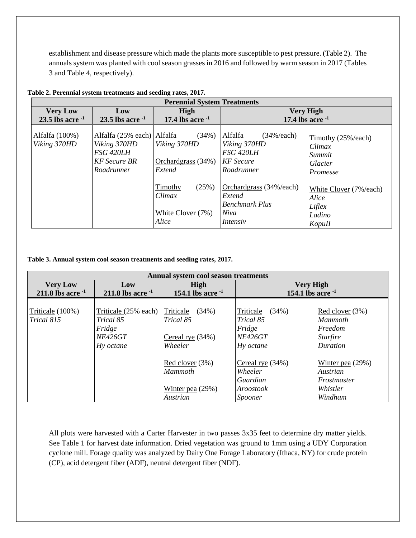establishment and disease pressure which made the plants more susceptible to pest pressure. (Table 2). The annuals system was planted with cool season grasses in 2016 and followed by warm season in 2017 (Tables 3 and Table 4, respectively).

|                                          | <b>Perennial System Treatments</b>                                                           |                                                                            |                                                                                           |                                                               |  |  |
|------------------------------------------|----------------------------------------------------------------------------------------------|----------------------------------------------------------------------------|-------------------------------------------------------------------------------------------|---------------------------------------------------------------|--|--|
| <b>Very Low</b><br>23.5 lbs acre $^{-1}$ | Low<br>23.5 lbs acre $^{-1}$                                                                 | High<br><b>Very High</b><br>17.4 lbs acre $^{-1}$<br>17.4 lbs acre $^{-1}$ |                                                                                           |                                                               |  |  |
| Alfalfa (100%)<br>Viking 370HD           | Alfalfa (25% each) Alfalfa<br>Viking 370HD<br>FSG 420LH<br><b>KF</b> Secure BR<br>Roadrunner | (34%)<br>Viking 370HD<br>Orchardgrass (34%)<br>Extend                      | Alfalfa<br>$(34\% / each)$<br>Viking 370HD<br>FSG 420LH<br><b>KF</b> Secure<br>Roadrunner | Timothy (25%/each)<br>Climax<br>Summit<br>Glacier<br>Promesse |  |  |
|                                          |                                                                                              | (25%)<br>Timothy<br>Climax<br>White Clover (7%)<br>Alice                   | Orchardgrass (34%/each)<br>Extend<br><b>Benchmark Plus</b><br>Niva<br>Intensiv            | White Clover (7%/each)<br>Alice<br>Liflex<br>Ladino<br>KopuII |  |  |

**Table 2. Perennial system treatments and seeding rates, 2017.**

**Table 3. Annual system cool season treatments and seeding rates, 2017.**

|                        | Annual system cool season treatments |                        |                        |                    |  |  |
|------------------------|--------------------------------------|------------------------|------------------------|--------------------|--|--|
| <b>Very Low</b>        | Low                                  | High                   | <b>Very High</b>       |                    |  |  |
| 211.8 lbs acre $^{-1}$ | 211.8 lbs acre $^{-1}$               | 154.1 lbs acre $^{-1}$ | 154.1 lbs acre $^{-1}$ |                    |  |  |
|                        |                                      |                        |                        |                    |  |  |
| Triticale (100%)       | Triticale (25% each) Triticale       | (34%)                  | Triticale<br>(34%)     | Red clover (3%)    |  |  |
| Trical 815             | Trical 85                            | Trical 85              | Trical 85              | <b>Mammoth</b>     |  |  |
|                        | Fridge                               |                        | Fridge                 | Freedom            |  |  |
|                        | <b>NE426GT</b>                       | Cereal rye $(34%)$     | <i>NE426GT</i>         | <i>Starfire</i>    |  |  |
|                        | Hy octane                            | Wheeler                | Hy octane              | Duration           |  |  |
|                        |                                      |                        |                        |                    |  |  |
|                        |                                      | Red clover $(3%)$      | Cereal rye $(34%)$     | Winter pea $(29%)$ |  |  |
|                        |                                      | Mammoth                | Wheeler                | Austrian           |  |  |
|                        |                                      |                        | Guardian               | Frostmaster        |  |  |
|                        |                                      | Winter pea $(29%)$     | Aroostook              | Whistler           |  |  |
|                        |                                      | Austrian               | Spooner                | Windham            |  |  |

All plots were harvested with a Carter Harvester in two passes 3x35 feet to determine dry matter yields. See Table 1 for harvest date information. Dried vegetation was ground to 1mm using a UDY Corporation cyclone mill. Forage quality was analyzed by Dairy One Forage Laboratory (Ithaca, NY) for crude protein (CP), acid detergent fiber (ADF), neutral detergent fiber (NDF).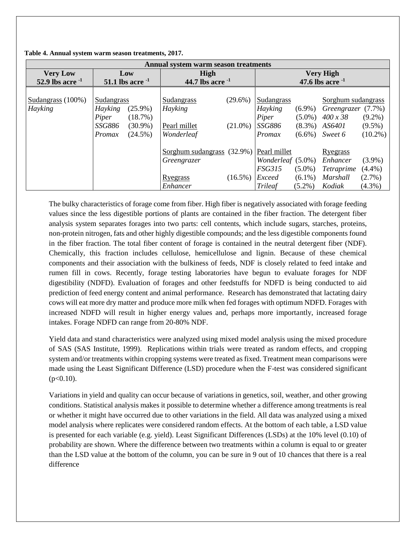| Annual system warm season treatments |                             |  |                            |            |                   |           |                       |            |
|--------------------------------------|-----------------------------|--|----------------------------|------------|-------------------|-----------|-----------------------|------------|
| <b>Very Low</b>                      | Low                         |  | High                       |            | <b>Very High</b>  |           |                       |            |
| 52.9 lbs acre $^{-1}$                | 51.1 lbs acre $^{-1}$       |  | 44.7 lbs acre $^{-1}$      |            |                   |           | 47.6 lbs acre $^{-1}$ |            |
|                                      |                             |  |                            |            |                   |           |                       |            |
| Sudangrass $(100\%)$                 | Sudangrass                  |  | Sudangrass                 | $(29.6\%)$ | Sudangrass        |           | Sorghum sudangrass    |            |
| Hayking                              | Hayking<br>$(25.9\%)$       |  | Hayking                    |            | Hayking           | $(6.9\%)$ | Greengrazer (7.7%)    |            |
|                                      | Piper<br>(18.7%)            |  |                            |            | Piper             | $(5.0\%)$ | $400 \times 38$       | $(9.2\%)$  |
|                                      | <i>SSG886</i><br>$(30.9\%)$ |  | Pearl millet               | $(21.0\%)$ | <i>SSG886</i>     | $(8.3\%)$ | AS6401                | $(9.5\%)$  |
|                                      | $(24.5\%)$<br>Promax        |  | Wonderleaf                 |            | Promax            | $(6.6\%)$ | Sweet 6               | $(10.2\%)$ |
|                                      |                             |  | Sorghum sudangrass (32.9%) |            | Pearl millet      |           | Ryegrass              |            |
|                                      |                             |  | Greengrazer                |            | Wonderleaf (5.0%) |           | Enhancer              | $(3.9\%)$  |
|                                      |                             |  |                            |            | <b>FSG315</b>     | $(5.0\%)$ | <i>Tetraprime</i>     | $(4.4\%)$  |
|                                      |                             |  | Ryegrass                   | $(16.5\%)$ | Exceed            | $(6.1\%)$ | Marshall              | $(2.7\%)$  |
|                                      |                             |  | Enhancer                   |            | <b>Trileaf</b>    | $(5.2\%)$ | Kodiak                | $(4.3\%)$  |

**Table 4. Annual system warm season treatments, 2017.**

The bulky characteristics of forage come from fiber. High fiber is negatively associated with forage feeding values since the less digestible portions of plants are contained in the fiber fraction. The detergent fiber analysis system separates forages into two parts: cell contents, which include sugars, starches, proteins, non-protein nitrogen, fats and other highly digestible compounds; and the less digestible components found in the fiber fraction. The total fiber content of forage is contained in the neutral detergent fiber (NDF). Chemically, this fraction includes cellulose, hemicellulose and lignin. Because of these chemical components and their association with the bulkiness of feeds, NDF is closely related to feed intake and rumen fill in cows. Recently, forage testing laboratories have begun to evaluate forages for NDF digestibility (NDFD). Evaluation of forages and other feedstuffs for NDFD is being conducted to aid prediction of feed energy content and animal performance. Research has demonstrated that lactating dairy cows will eat more dry matter and produce more milk when fed forages with optimum NDFD. Forages with increased NDFD will result in higher energy values and, perhaps more importantly, increased forage intakes. Forage NDFD can range from 20-80% NDF.

Yield data and stand characteristics were analyzed using mixed model analysis using the mixed procedure of SAS (SAS Institute, 1999). Replications within trials were treated as random effects, and cropping system and/or treatments within cropping systems were treated as fixed. Treatment mean comparisons were made using the Least Significant Difference (LSD) procedure when the F-test was considered significant  $(p<0.10)$ .

Variations in yield and quality can occur because of variations in genetics, soil, weather, and other growing conditions. Statistical analysis makes it possible to determine whether a difference among treatments is real or whether it might have occurred due to other variations in the field. All data was analyzed using a mixed model analysis where replicates were considered random effects. At the bottom of each table, a LSD value is presented for each variable (e.g. yield). Least Significant Differences (LSDs) at the 10% level (0.10) of probability are shown. Where the difference between two treatments within a column is equal to or greater than the LSD value at the bottom of the column, you can be sure in 9 out of 10 chances that there is a real difference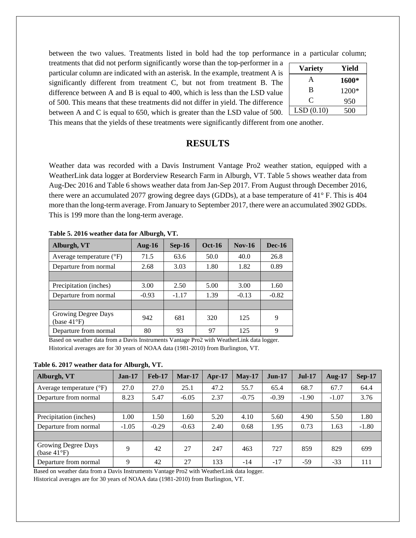between the two values. Treatments listed in bold had the top performance in a particular column;

treatments that did not perform significantly worse than the top-performer in a particular column are indicated with an asterisk. In the example, treatment A is significantly different from treatment C, but not from treatment B. The difference between A and B is equal to 400, which is less than the LSD value of 500. This means that these treatments did not differ in yield. The difference between A and C is equal to 650, which is greater than the LSD value of 500.

| <b>Variety</b> | Yield |
|----------------|-------|
| A              | 1600* |
| B              | 1200* |
| C              | 950   |
| LSD(0.10)      | 500   |

This means that the yields of these treatments were significantly different from one another.

# **RESULTS**

Weather data was recorded with a Davis Instrument Vantage Pro2 weather station, equipped with a WeatherLink data logger at Borderview Research Farm in Alburgh, VT. Table 5 shows weather data from Aug-Dec 2016 and Table 6 shows weather data from Jan-Sep 2017. From August through December 2016, there were an accumulated 2077 growing degree days (GDDs), at a base temperature of 41° F. This is 404 more than the long-term average. From January to September 2017, there were an accumulated 3902 GDDs. This is 199 more than the long-term average.

|                                              | rabic 9. svro wcathci uata ivi Anbargh, y r. |          |               |          |               |  |  |  |
|----------------------------------------------|----------------------------------------------|----------|---------------|----------|---------------|--|--|--|
| Alburgh, VT                                  | Aug- $16$                                    | $Sep-16$ | <b>Oct-16</b> | $Nov-16$ | <b>Dec-16</b> |  |  |  |
| Average temperature $({}^{\circ}F)$          | 71.5                                         | 63.6     | 50.0          | 40.0     | 26.8          |  |  |  |
| Departure from normal                        | 2.68                                         | 3.03     | 1.80          | 1.82     | 0.89          |  |  |  |
|                                              |                                              |          |               |          |               |  |  |  |
| Precipitation (inches)                       | 3.00                                         | 2.50     | 5.00          | 3.00     | 1.60          |  |  |  |
| Departure from normal                        | $-0.93$                                      | $-1.17$  | 1.39          | $-0.13$  | $-0.82$       |  |  |  |
|                                              |                                              |          |               |          |               |  |  |  |
| Growing Degree Days<br>(base $41^{\circ}F$ ) | 942                                          | 681      | 320           | 125      | 9             |  |  |  |
| Departure from normal                        | 80                                           | 93       | 97            | 125      | 9             |  |  |  |

**Table 5. 2016 weather data for Alburgh, VT.**

Based on weather data from a Davis Instruments Vantage Pro2 with WeatherLink data logger. Historical averages are for 30 years of NOAA data (1981-2010) from Burlington, VT.

**Table 6. 2017 weather data for Alburgh, VT.**

| Alburgh, VT                                  | $Jan-17$ | <b>Feb-17</b> | $Mar-17$ | $Apr-17$ | $May-17$ | $Jun-17$ | $Jul-17$ | <b>Aug-17</b> | <b>Sep-17</b> |
|----------------------------------------------|----------|---------------|----------|----------|----------|----------|----------|---------------|---------------|
| Average temperature $(^{\circ}F)$            | 27.0     | 27.0          | 25.1     | 47.2     | 55.7     | 65.4     | 68.7     | 67.7          | 64.4          |
| Departure from normal                        | 8.23     | 5.47          | $-6.05$  | 2.37     | $-0.75$  | $-0.39$  | $-1.90$  | $-1.07$       | 3.76          |
|                                              |          |               |          |          |          |          |          |               |               |
| Precipitation (inches)                       | 1.00     | 1.50          | 1.60     | 5.20     | 4.10     | 5.60     | 4.90     | 5.50          | 1.80          |
| Departure from normal                        | $-1.05$  | $-0.29$       | $-0.63$  | 2.40     | 0.68     | 1.95     | 0.73     | 1.63          | $-1.80$       |
|                                              |          |               |          |          |          |          |          |               |               |
| Growing Degree Days<br>(base $41^{\circ}F$ ) | 9        | 42            | 27       | 247      | 463      | 727      | 859      | 829           | 699           |
| Departure from normal                        | 9        | 42            | 27       | 133      | $-14$    | $-17$    | $-59$    | $-33$         | 111           |

Based on weather data from a Davis Instruments Vantage Pro2 with WeatherLink data logger.

Historical averages are for 30 years of NOAA data (1981-2010) from Burlington, VT.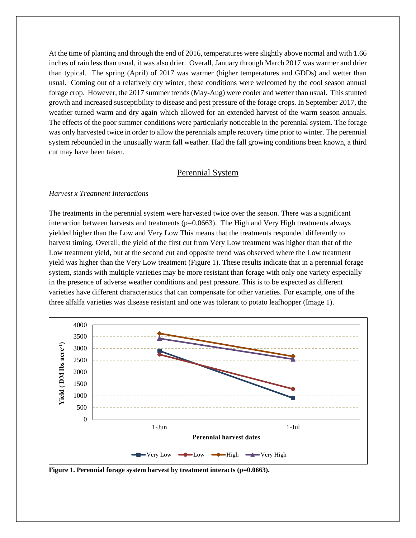At the time of planting and through the end of 2016, temperatures were slightly above normal and with 1.66 inches of rain less than usual, it was also drier. Overall, January through March 2017 was warmer and drier than typical. The spring (April) of 2017 was warmer (higher temperatures and GDDs) and wetter than usual. Coming out of a relatively dry winter, these conditions were welcomed by the cool season annual forage crop. However, the 2017 summer trends (May-Aug) were cooler and wetter than usual. This stunted growth and increased susceptibility to disease and pest pressure of the forage crops. In September 2017, the weather turned warm and dry again which allowed for an extended harvest of the warm season annuals. The effects of the poor summer conditions were particularly noticeable in the perennial system. The forage was only harvested twice in order to allow the perennials ample recovery time prior to winter. The perennial system rebounded in the unusually warm fall weather. Had the fall growing conditions been known, a third cut may have been taken.

### Perennial System

#### *Harvest x Treatment Interactions*

The treatments in the perennial system were harvested twice over the season. There was a significant interaction between harvests and treatments  $(p=0.0663)$ . The High and Very High treatments always yielded higher than the Low and Very Low This means that the treatments responded differently to harvest timing. Overall, the yield of the first cut from Very Low treatment was higher than that of the Low treatment yield, but at the second cut and opposite trend was observed where the Low treatment yield was higher than the Very Low treatment (Figure 1). These results indicate that in a perennial forage system, stands with multiple varieties may be more resistant than forage with only one variety especially in the presence of adverse weather conditions and pest pressure. This is to be expected as different varieties have different characteristics that can compensate for other varieties. For example, one of the three alfalfa varieties was disease resistant and one was tolerant to potato leafhopper (Image 1).



**Figure 1. Perennial forage system harvest by treatment interacts (p=0.0663).**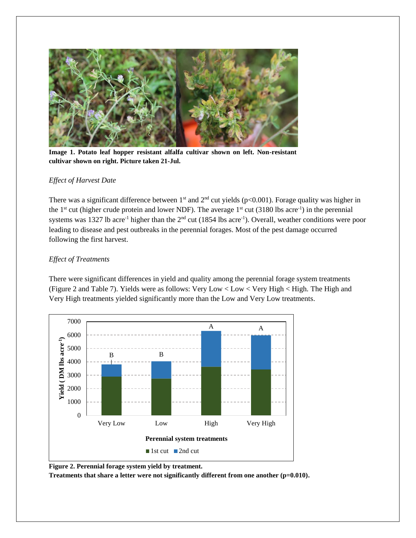

**Image 1. Potato leaf hopper resistant alfalfa cultivar shown on left. Non-resistant cultivar shown on right. Picture taken 21-Jul.**

#### *Effect of Harvest Date*

There was a significant difference between 1<sup>st</sup> and  $2<sup>nd</sup>$  cut yields (p<0.001). Forage quality was higher in the  $1<sup>st</sup>$  cut (higher crude protein and lower NDF). The average  $1<sup>st</sup>$  cut (3180 lbs acre<sup>-1</sup>) in the perennial systems was 1327 lb acre<sup>-1</sup> higher than the  $2<sup>nd</sup>$  cut (1854 lbs acre<sup>-1</sup>). Overall, weather conditions were poor leading to disease and pest outbreaks in the perennial forages. Most of the pest damage occurred following the first harvest.

## *Effect of Treatments*

There were significant differences in yield and quality among the perennial forage system treatments (Figure 2 and Table 7). Yields were as follows: Very Low < Low < Very High < High. The High and Very High treatments yielded significantly more than the Low and Very Low treatments.



**Figure 2. Perennial forage system yield by treatment.**

**Treatments that share a letter were not significantly different from one another (p=0.010).**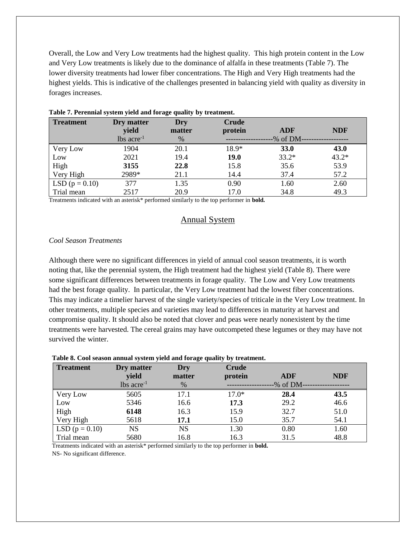Overall, the Low and Very Low treatments had the highest quality. This high protein content in the Low and Very Low treatments is likely due to the dominance of alfalfa in these treatments (Table 7). The lower diversity treatments had lower fiber concentrations. The High and Very High treatments had the highest yields. This is indicative of the challenges presented in balancing yield with quality as diversity in forages increases.

| <b>Treatment</b> | Dry matter               | Dry    | Crude   |            |            |
|------------------|--------------------------|--------|---------|------------|------------|
|                  | yield                    | matter | protein | <b>ADF</b> | <b>NDF</b> |
|                  | $lbs$ acre <sup>-1</sup> | $\%$   |         | -% of DM-  |            |
| Very Low         | 1904                     | 20.1   | $18.9*$ | 33.0       | 43.0       |
| Low              | 2021                     | 19.4   | 19.0    | $33.2*$    | $43.2*$    |
| High             | 3155                     | 22.8   | 15.8    | 35.6       | 53.9       |
| Very High        | 2989*                    | 21.1   | 14.4    | 37.4       | 57.2       |
| LSD $(p = 0.10)$ | 377                      | 1.35   | 0.90    | 1.60       | 2.60       |
| Trial mean       | 2517                     | 20.9   | 17.0    | 34.8       | 49.3       |

#### **Table 7. Perennial system yield and forage quality by treatment.**

Treatments indicated with an asterisk\* performed similarly to the top performer in **bold.**

## Annual System

#### *Cool Season Treatments*

Although there were no significant differences in yield of annual cool season treatments, it is worth noting that, like the perennial system, the High treatment had the highest yield (Table 8). There were some significant differences between treatments in forage quality. The Low and Very Low treatments had the best forage quality. In particular, the Very Low treatment had the lowest fiber concentrations. This may indicate a timelier harvest of the single variety/species of triticale in the Very Low treatment. In other treatments, multiple species and varieties may lead to differences in maturity at harvest and compromise quality. It should also be noted that clover and peas were nearly nonexistent by the time treatments were harvested. The cereal grains may have outcompeted these legumes or they may have not survived the winter.

#### **Table 8. Cool season annual system yield and forage quality by treatment.**

| <b>Treatment</b> | Dry matter<br>yield      | <b>Dry</b><br>matter | <b>Crude</b><br>protein | <b>ADF</b> | <b>NDF</b> |
|------------------|--------------------------|----------------------|-------------------------|------------|------------|
|                  | $lbs$ acre <sup>-1</sup> | $\%$                 |                         | -% of DM-  |            |
| Very Low         | 5605                     | 17.1                 | $17.0*$                 | 28.4       | 43.5       |
| Low              | 5346                     | 16.6                 | 17.3                    | 29.2       | 46.6       |
| High             | 6148                     | 16.3                 | 15.9                    | 32.7       | 51.0       |
| Very High        | 5618                     | 17.1                 | 15.0                    | 35.7       | 54.1       |
| LSD $(p = 0.10)$ | <b>NS</b>                | <b>NS</b>            | 1.30                    | 0.80       | 1.60       |
| Trial mean       | 5680                     | 16.8                 | 16.3                    | 31.5       | 48.8       |

Treatments indicated with an asterisk\* performed similarly to the top performer in **bold.** NS- No significant difference.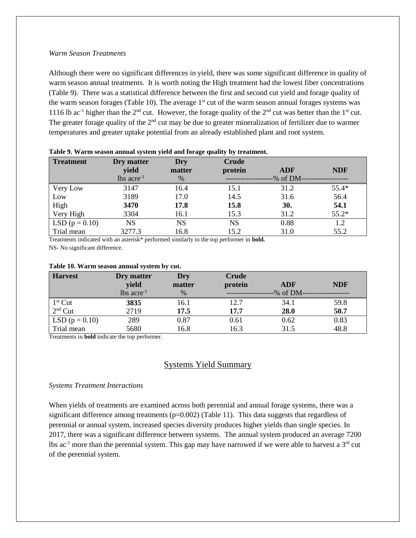#### *Warm Season Treatments*

Although there were no significant differences in yield, there was some significant difference in quality of warm season annual treatments. It is worth noting the High treatment had the lowest fiber concentrations (Table 9). There was a statistical difference between the first and second cut yield and forage quality of the warm season forages (Table 10). The average  $1<sup>st</sup>$  cut of the warm season annual forages systems was 1116 lb ac<sup>-1</sup> higher than the  $2<sup>nd</sup>$  cut. However, the forage quality of the  $2<sup>nd</sup>$  cut was better than the  $1<sup>st</sup>$  cut. The greater forage quality of the  $2<sup>nd</sup>$  cut may be due to greater mineralization of fertilizer due to warmer temperatures and greater uptake potential from an already established plant and root system.

| <b>Treatment</b> | Dry matter               | Dry       | <b>Crude</b> |                 |            |
|------------------|--------------------------|-----------|--------------|-----------------|------------|
|                  | yield                    | matter    | protein      | <b>ADF</b>      | <b>NDF</b> |
|                  | $lbs$ acre <sup>-1</sup> | $\%$      |              | $-$ % of DM $-$ |            |
| Very Low         | 3147                     | 16.4      | 15.1         | 31.2            | $55.4*$    |
| Low              | 3189                     | 17.0      | 14.5         | 31.6            | 56.4       |
| High             | 3470                     | 17.8      | 15.8         | 30.             | 54.1       |
| Very High        | 3304                     | 16.1      | 15.3         | 31.2            | 55.2*      |
| LSD $(p = 0.10)$ | <b>NS</b>                | <b>NS</b> | <b>NS</b>    | 0.88            | 1.2        |
| Trial mean       | 3277.3                   | 16.8      | 15.2         | 31.0            | 55.2       |

**Table 9. Warm season annual system yield and forage quality by treatment.**

Treatments indicated with an asterisk\* performed similarly to the top performer in **bold.**

NS- No significant difference.

#### **Table 10. Warm season annual system by cut.**

| <b>Harvest</b>     | Dry matter               | Dry    | Crude   |            |            |
|--------------------|--------------------------|--------|---------|------------|------------|
|                    | yield                    | matter | protein | <b>ADF</b> | <b>NDF</b> |
|                    | $lbs$ acre <sup>-1</sup> | $\%$   |         | -% of DM-  |            |
| $1st$ Cut          | 3835                     | 16.1   | 12.7    | 34.1       | 59.8       |
| $2nd$ Cut          | 2719                     | 17.5   | 17.7    | 28.0       | 50.7       |
| LSD ( $p = 0.10$ ) | 289                      | 0.87   | 0.61    | 0.62       | 0.83       |
| Trial mean         | 5680                     | 16.8   | 16.3    | 31.5       | 48.8       |

Treatments in **bold** indicate the top performer.

## Systems Yield Summary

#### *Systems Treatment Interactions*

When yields of treatments are examined across both perennial and annual forage systems, there was a significant difference among treatments (p=0.002) (Table 11). This data suggests that regardless of perennial or annual system, increased species diversity produces higher yields than single species. In 2017, there was a significant difference between systems. The annual system produced an average 7200 lbs ac<sup>-1</sup> more than the perennial system. This gap may have narrowed if we were able to harvest a  $3<sup>rd</sup>$  cut of the perennial system.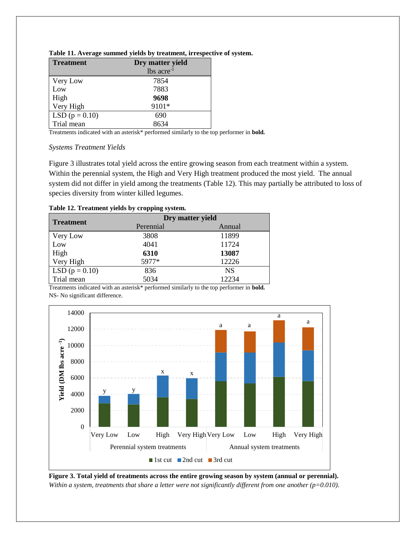| <b>Treatment</b>   | Dry matter yield         |
|--------------------|--------------------------|
|                    | $lbs$ acre <sup>-1</sup> |
| Very Low           | 7854                     |
| Low                | 7883                     |
| High               | 9698                     |
| Very High          | 9101*                    |
| LSD ( $p = 0.10$ ) | 690                      |
| Trial mean         | 8634                     |

| Table 11. Average summed yields by treatment, irrespective of system. |  |  |  |
|-----------------------------------------------------------------------|--|--|--|
|                                                                       |  |  |  |

Treatments indicated with an asterisk\* performed similarly to the top performer in **bold.**

#### *Systems Treatment Yields*

Figure 3 illustrates total yield across the entire growing season from each treatment within a system. Within the perennial system, the High and Very High treatment produced the most yield. The annual system did not differ in yield among the treatments (Table 12). This may partially be attributed to loss of species diversity from winter killed legumes.

|  | Table 12. Treatment yields by cropping system. |  |  |
|--|------------------------------------------------|--|--|
|  |                                                |  |  |

| <b>Treatment</b>   | Dry matter yield |           |  |  |
|--------------------|------------------|-----------|--|--|
|                    | Perennial        | Annual    |  |  |
| Very Low           | 3808             | 11899     |  |  |
| Low                | 4041             | 11724     |  |  |
| High               | 6310             | 13087     |  |  |
| Very High          | 5977*            | 12226     |  |  |
| LSD ( $p = 0.10$ ) | 836              | <b>NS</b> |  |  |
| Trial mean         | 5034             | 12234     |  |  |

Treatments indicated with an asterisk\* performed similarly to the top performer in **bold.** NS- No significant difference.



**Figure 3. Total yield of treatments across the entire growing season by system (annual or perennial).** *Within a system, treatments that share a letter were not significantly different from one another (p=0.010).*